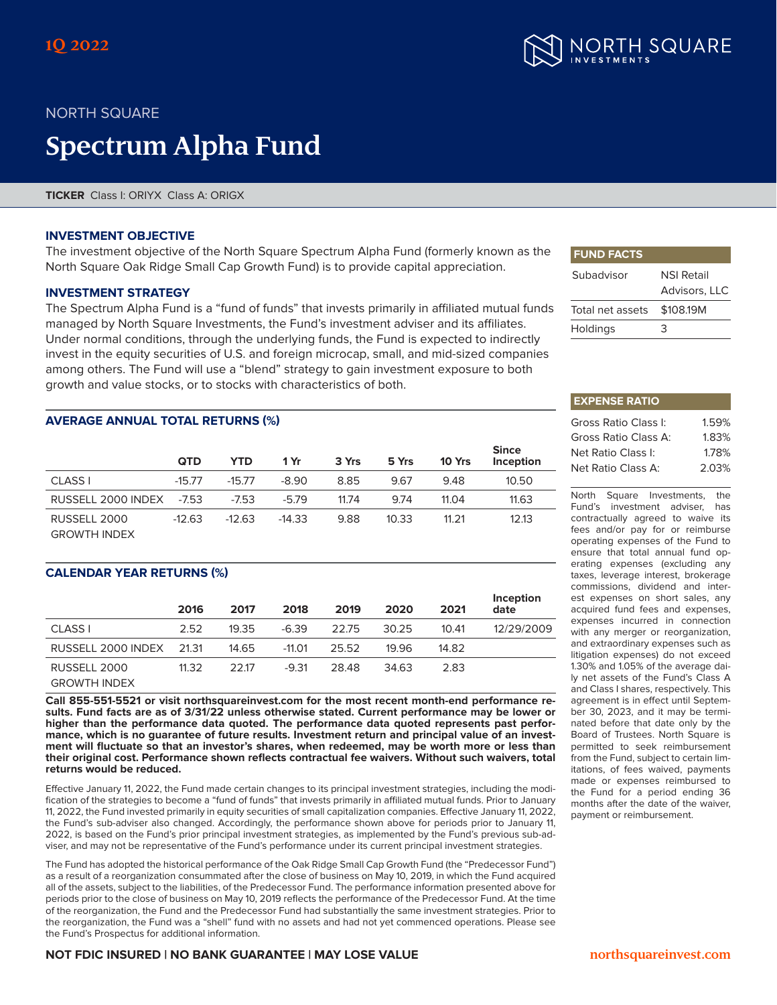

# NORTH SQUARE

# **Spectrum Alpha Fund**

**TICKER** Class I: ORIYX Class A: ORIGX

#### **INVESTMENT OBJECTIVE**

The investment objective of the North Square Spectrum Alpha Fund (formerly known as the North Square Oak Ridge Small Cap Growth Fund) is to provide capital appreciation.

#### **INVESTMENT STRATEGY**

The Spectrum Alpha Fund is a "fund of funds" that invests primarily in affiliated mutual funds managed by North Square Investments, the Fund's investment adviser and its affiliates. Under normal conditions, through the underlying funds, the Fund is expected to indirectly invest in the equity securities of U.S. and foreign microcap, small, and mid-sized companies among others. The Fund will use a "blend" strategy to gain investment exposure to both growth and value stocks, or to stocks with characteristics of both.

### **AVERAGE ANNUAL TOTAL RETURNS (%)**

|                     | <b>QTD</b> | YTD      | 1 Yr     | 3 Yrs | 5 Yrs | 10 Yrs | <b>Since</b><br>Inception |
|---------------------|------------|----------|----------|-------|-------|--------|---------------------------|
| <b>CLASS I</b>      | $-15.77$   | $-15.77$ | $-8.90$  | 8.85  | 9.67  | 9.48   | 10.50                     |
| RUSSELL 2000 INDEX  | $-7.53$    | $-7.53$  | $-5.79$  | 11.74 | 9.74  | 11.04  | 11.63                     |
| RUSSELL 2000        | $-12.63$   | $-12.63$ | $-14.33$ | 9.88  | 10.33 | 11.21  | 12.13                     |
| <b>GROWTH INDEX</b> |            |          |          |       |       |        |                           |

#### **CALENDAR YEAR RETURNS (%)**

|                          | 2016  | 2017  | 2018     | 2019  | 2020  | 2021  | Inception<br>date |
|--------------------------|-------|-------|----------|-------|-------|-------|-------------------|
| CLASS I                  | 2.52  | 19.35 | $-6.39$  | 22.75 | 30.25 | 10.41 | 12/29/2009        |
| RUSSELL 2000 INDEX 21.31 |       | 14.65 | $-11.01$ | 25.52 | 19.96 | 14.82 |                   |
| RUSSELL 2000             | 11.32 | 22.17 | $-9.31$  | 28.48 | 34.63 | 2.83  |                   |
| <b>GROWTH INDEX</b>      |       |       |          |       |       |       |                   |

**Call 855-551-5521 or visit northsquareinvest.com for the most recent month-end performance results. Fund facts are as of 3/31/22 unless otherwise stated. Current performance may be lower or higher than the performance data quoted. The performance data quoted represents past performance, which is no guarantee of future results. Investment return and principal value of an invest- ment will fluctuate so that an investor's shares, when redeemed, may be worth more or less than their original cost. Performance shown reflects contractual fee waivers. Without such waivers, total returns would be reduced.**

Effective January 11, 2022, the Fund made certain changes to its principal investment strategies, including the modification of the strategies to become a "fund of funds" that invests primarily in affiliated mutual funds. Prior to January 11, 2022, the Fund invested primarily in equity securities of small capitalization companies. Effective January 11, 2022, the Fund's sub-adviser also changed. Accordingly, the performance shown above for periods prior to January 11, 2022, is based on the Fund's prior principal investment strategies, as implemented by the Fund's previous sub-adviser, and may not be representative of the Fund's performance under its current principal investment strategies.

The Fund has adopted the historical performance of the Oak Ridge Small Cap Growth Fund (the "Predecessor Fund") as a result of a reorganization consummated after the close of business on May 10, 2019, in which the Fund acquired all of the assets, subject to the liabilities, of the Predecessor Fund. The performance information presented above for periods prior to the close of business on May 10, 2019 reflects the performance of the Predecessor Fund. At the time of the reorganization, the Fund and the Predecessor Fund had substantially the same investment strategies. Prior to the reorganization, the Fund was a "shell" fund with no assets and had not yet commenced operations. Please see the Fund's Prospectus for additional information.

#### **NOT FDIC INSURED | NO BANK GUARANTEE | MAY LOSE VALUE**  $\qquad \qquad$  **northsquareinvest.com**

| <b>FUND FACTS</b> |  |
|-------------------|--|
|-------------------|--|

| Subadvisor       | <b>NSI Retail</b><br>Advisors, LLC |
|------------------|------------------------------------|
| Total net assets | \$108.19M                          |
| Holdings         | 3                                  |

|  | <b>EXPENSE RATIO</b> |  |
|--|----------------------|--|
|  |                      |  |

| Gross Ratio Class I: | 1.59% |
|----------------------|-------|
| Gross Ratio Class A: | 1.83% |
| Net Ratio Class I:   | 1.78% |
| Net Ratio Class A:   | 2.03% |

North Square Investments, the Fund's investment adviser, has contractually agreed to waive its fees and/or pay for or reimburse operating expenses of the Fund to ensure that total annual fund operating expenses (excluding any taxes, leverage interest, brokerage commissions, dividend and interest expenses on short sales, any acquired fund fees and expenses, expenses incurred in connection with any merger or reorganization, and extraordinary expenses such as litigation expenses) do not exceed 1.30% and 1.05% of the average daily net assets of the Fund's Class A and Class I shares, respectively. This agreement is in effect until September 30, 2023, and it may be terminated before that date only by the Board of Trustees. North Square is permitted to seek reimbursement from the Fund, subject to certain limitations, of fees waived, payments made or expenses reimbursed to the Fund for a period ending 36 months after the date of the waiver, payment or reimbursement.